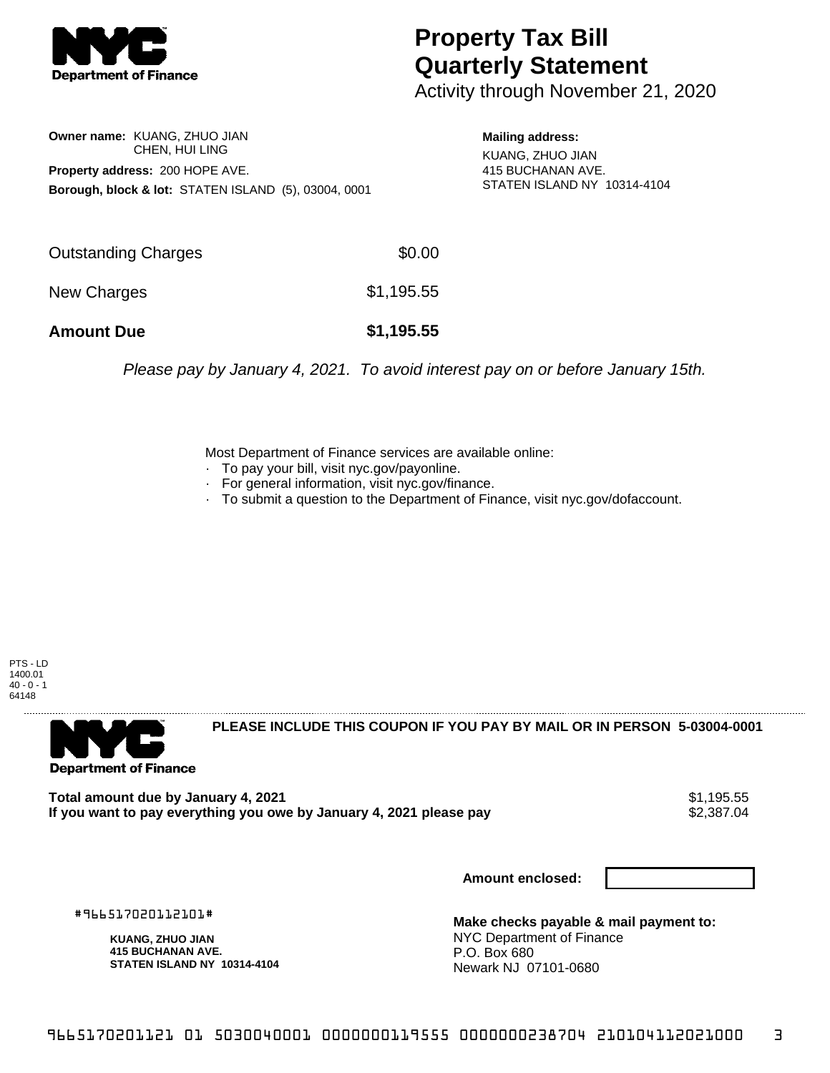

## **Property Tax Bill Quarterly Statement**

Activity through November 21, 2020

**Owner name:** KUANG, ZHUO JIAN CHEN, HUI LING **Property address:** 200 HOPE AVE. **Borough, block & lot:** STATEN ISLAND (5), 03004, 0001

**Mailing address:** KUANG, ZHUO JIAN 415 BUCHANAN AVE. STATEN ISLAND NY 10314-4104

| <b>Amount Due</b>   | \$1,195.55 |
|---------------------|------------|
| New Charges         | \$1,195.55 |
| Outstanding Charges | \$0.00     |

Please pay by January 4, 2021. To avoid interest pay on or before January 15th.

Most Department of Finance services are available online:

- · To pay your bill, visit nyc.gov/payonline.
- For general information, visit nyc.gov/finance.
- · To submit a question to the Department of Finance, visit nyc.gov/dofaccount.

PTS - LD 1400.01  $40 - 0 - 1$ 64148



**PLEASE INCLUDE THIS COUPON IF YOU PAY BY MAIL OR IN PERSON 5-03004-0001** 

**Total amount due by January 4, 2021**<br>If you want to pay everything you owe by January 4, 2021 please pay **show that the summer way of the s**2,387.04 If you want to pay everything you owe by January 4, 2021 please pay

**Amount enclosed:**

#966517020112101#

**KUANG, ZHUO JIAN 415 BUCHANAN AVE. STATEN ISLAND NY 10314-4104**

**Make checks payable & mail payment to:** NYC Department of Finance P.O. Box 680 Newark NJ 07101-0680